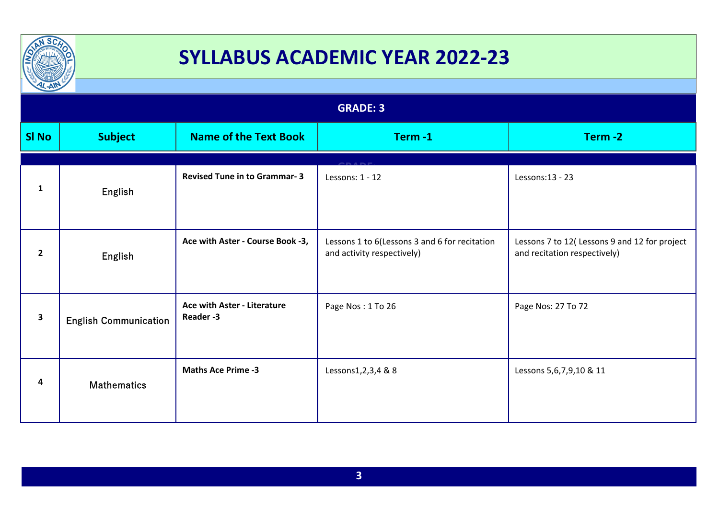

| $\frac{1}{2}$   |                              |                                                |                                                                             |                                                                               |
|-----------------|------------------------------|------------------------------------------------|-----------------------------------------------------------------------------|-------------------------------------------------------------------------------|
| <b>GRADE: 3</b> |                              |                                                |                                                                             |                                                                               |
| <b>SI No</b>    | <b>Subject</b>               | <b>Name of the Text Book</b>                   | Term-1                                                                      | Term-2                                                                        |
| $\mathbf{1}$    | English                      | <b>Revised Tune in to Grammar-3</b>            | Lessons: 1 - 12                                                             | Lessons:13 - 23                                                               |
| $\mathbf{2}$    | English                      | Ace with Aster - Course Book -3,               | Lessons 1 to 6(Lessons 3 and 6 for recitation<br>and activity respectively) | Lessons 7 to 12( Lessons 9 and 12 for project<br>and recitation respectively) |
| 3               | <b>English Communication</b> | <b>Ace with Aster - Literature</b><br>Reader-3 | Page Nos: 1 To 26                                                           | Page Nos: 27 To 72                                                            |
| 4               | <b>Mathematics</b>           | <b>Maths Ace Prime -3</b>                      | Lessons1,2,3,4 & 8                                                          | Lessons 5,6,7,9,10 & 11                                                       |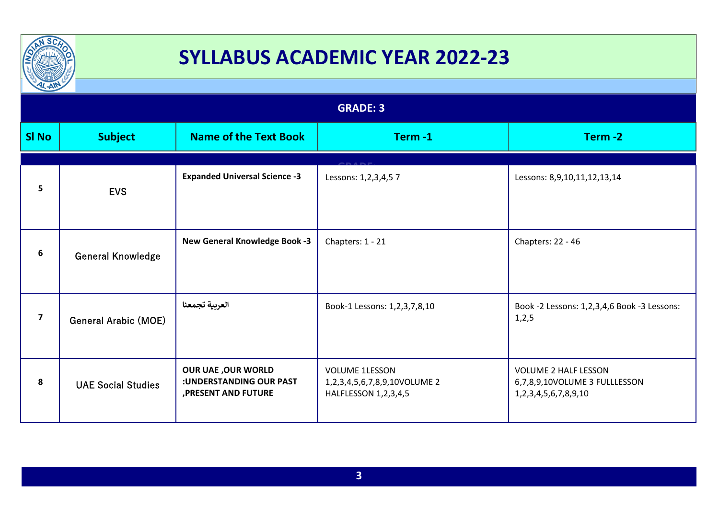

| $\frac{1}{2}$   |                             |                                                                              |                                                                               |                                                                                               |
|-----------------|-----------------------------|------------------------------------------------------------------------------|-------------------------------------------------------------------------------|-----------------------------------------------------------------------------------------------|
| <b>GRADE: 3</b> |                             |                                                                              |                                                                               |                                                                                               |
| <b>SI No</b>    | <b>Subject</b>              | <b>Name of the Text Book</b>                                                 | Term-1                                                                        | Term-2                                                                                        |
|                 |                             |                                                                              |                                                                               |                                                                                               |
| 5               | <b>EVS</b>                  | <b>Expanded Universal Science -3</b>                                         | Lessons: 1,2,3,4,57                                                           | Lessons: 8,9,10,11,12,13,14                                                                   |
| 6               | <b>General Knowledge</b>    | <b>New General Knowledge Book -3</b>                                         | Chapters: 1 - 21                                                              | Chapters: 22 - 46                                                                             |
| $\overline{7}$  | <b>General Arabic (MOE)</b> | العربية تجمعنا                                                               | Book-1 Lessons: 1,2,3,7,8,10                                                  | Book -2 Lessons: 1,2,3,4,6 Book -3 Lessons:<br>1, 2, 5                                        |
| 8               | <b>UAE Social Studies</b>   | <b>OUR UAE, OUR WORLD</b><br>:UNDERSTANDING OUR PAST<br>, PRESENT AND FUTURE | <b>VOLUME 1LESSON</b><br>1,2,3,4,5,6,7,8,9,10VOLUME 2<br>HALFLESSON 1,2,3,4,5 | <b>VOLUME 2 HALF LESSON</b><br>6,7,8,9,10VOLUME 3 FULLLESSON<br>1, 2, 3, 4, 5, 6, 7, 8, 9, 10 |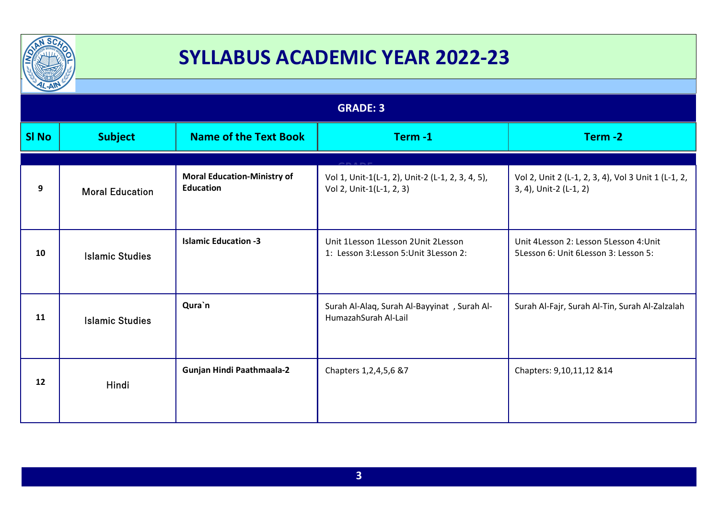

| $\frac{1}{2}$   |                        |                                                        |                                                                              |                                                                                |
|-----------------|------------------------|--------------------------------------------------------|------------------------------------------------------------------------------|--------------------------------------------------------------------------------|
| <b>GRADE: 3</b> |                        |                                                        |                                                                              |                                                                                |
| <b>SI No</b>    | <b>Subject</b>         | <b>Name of the Text Book</b>                           | Term-1                                                                       | Term-2                                                                         |
|                 |                        |                                                        |                                                                              |                                                                                |
| 9               | <b>Moral Education</b> | <b>Moral Education-Ministry of</b><br><b>Education</b> | Vol 1, Unit-1(L-1, 2), Unit-2 (L-1, 2, 3, 4, 5),<br>Vol 2, Unit-1(L-1, 2, 3) | Vol 2, Unit 2 (L-1, 2, 3, 4), Vol 3 Unit 1 (L-1, 2,<br>3, 4), Unit-2 (L-1, 2)  |
| 10              | <b>Islamic Studies</b> | <b>Islamic Education -3</b>                            | Unit 1Lesson 1Lesson 2Unit 2Lesson<br>1: Lesson 3:Lesson 5:Unit 3Lesson 2:   | Unit 4Lesson 2: Lesson 5Lesson 4: Unit<br>5Lesson 6: Unit 6Lesson 3: Lesson 5: |
| 11              | <b>Islamic Studies</b> | Qura`n                                                 | Surah Al-Alaq, Surah Al-Bayyinat, Surah Al-<br>HumazahSurah Al-Lail          | Surah Al-Fajr, Surah Al-Tin, Surah Al-Zalzalah                                 |
| 12              | Hindi                  | Gunjan Hindi Paathmaala-2                              | Chapters 1, 2, 4, 5, 6 & 7                                                   | Chapters: 9,10,11,12 & 14                                                      |